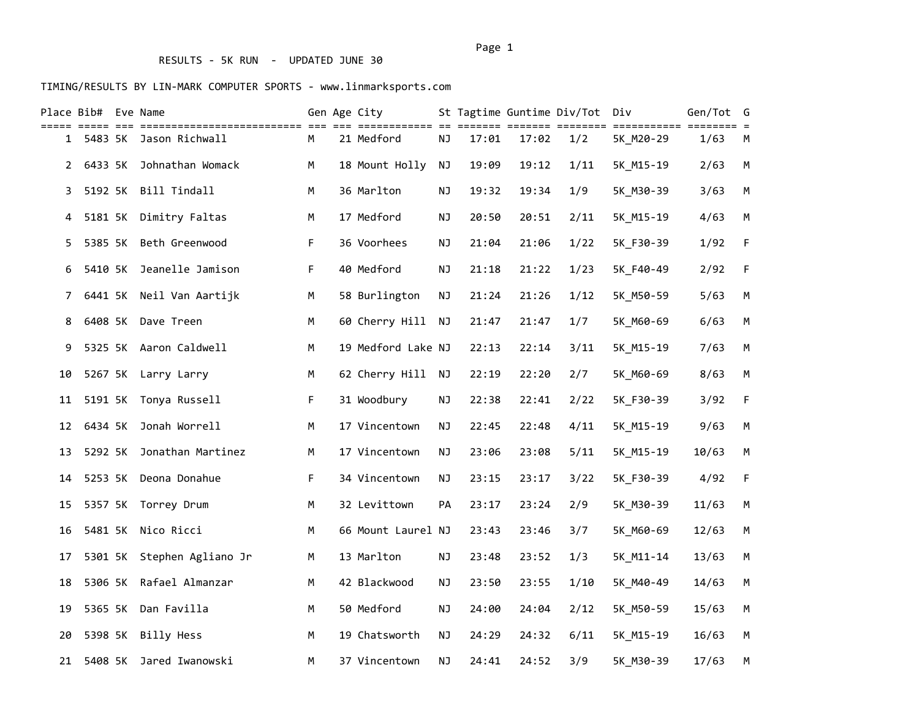# RESULTS - 5K RUN - UPDATED JUNE 30

|              | Place Bib# Eve Name |                            |    | Gen Age City                        |           |       |       | St Tagtime Guntime Div/Tot Div |                          | Gen/Tot | G           |
|--------------|---------------------|----------------------------|----|-------------------------------------|-----------|-------|-------|--------------------------------|--------------------------|---------|-------------|
|              |                     | 1 5483 5K Jason Richwall   | М  | ========== == =======<br>21 Medford | NJ        | 17:01 | 17:02 | ==== ========<br>1/2           | ===========<br>5K_M20-29 | 1/63    | M           |
| $\mathbf{2}$ | 6433 5K             | Johnathan Womack           | M  | 18 Mount Holly                      | <b>NJ</b> | 19:09 | 19:12 | 1/11                           | 5K_M15-19                | 2/63    | M           |
| 3            | 5192 5K             | Bill Tindall               | M  | 36 Marlton                          | ΝJ        | 19:32 | 19:34 | 1/9                            | 5K M30-39                | 3/63    | M           |
| 4            | 5181 5K             | Dimitry Faltas             | M  | 17 Medford                          | NJ        | 20:50 | 20:51 | 2/11                           | 5K_M15-19                | 4/63    | M           |
| 5            | 5385 5K             | Beth Greenwood             | F  | 36 Voorhees                         | NJ        | 21:04 | 21:06 | 1/22                           | 5K_F30-39                | 1/92    | $\mathsf F$ |
| 6            | 5410 5K             | Jeanelle Jamison           | F. | 40 Medford                          | NJ        | 21:18 | 21:22 | 1/23                           | 5K F40-49                | 2/92    | $\mathsf F$ |
| $7^{\circ}$  | 6441 5K             | Neil Van Aartijk           | M  | 58 Burlington                       | <b>NJ</b> | 21:24 | 21:26 | 1/12                           | 5K M50-59                | 5/63    | M           |
| 8            | 6408 5K             | Dave Treen                 | M  | 60 Cherry Hill                      | <b>NJ</b> | 21:47 | 21:47 | 1/7                            | 5K_M60-69                | 6/63    | M           |
| 9            |                     | 5325 5K Aaron Caldwell     | M  | 19 Medford Lake NJ                  |           | 22:13 | 22:14 | 3/11                           | 5K M15-19                | 7/63    | ${\sf M}$   |
| 10           | 5267 5K             | Larry Larry                | M  | 62 Cherry Hill                      | NJ        | 22:19 | 22:20 | 2/7                            | 5K M60-69                | 8/63    | M           |
| 11           |                     | 5191 5K Tonya Russell      | F. | 31 Woodbury                         | <b>NJ</b> | 22:38 | 22:41 | 2/22                           | 5K F30-39                | 3/92    | F           |
| 12           | 6434 5K             | Jonah Worrell              | M  | 17 Vincentown                       | NJ        | 22:45 | 22:48 | 4/11                           | 5K_M15-19                | 9/63    | ${\sf M}$   |
| 13           | 5292 5K             | Jonathan Martinez          | M  | 17 Vincentown                       | ΝJ        | 23:06 | 23:08 | 5/11                           | 5K_M15-19                | 10/63   | М           |
| 14           |                     | 5253 5K Deona Donahue      | F  | 34 Vincentown                       | <b>NJ</b> | 23:15 | 23:17 | 3/22                           | 5K F30-39                | 4/92    | F           |
| 15           |                     | 5357 5K Torrey Drum        | M  | 32 Levittown                        | PA        | 23:17 | 23:24 | 2/9                            | 5K_M30-39                | 11/63   | M           |
| 16           | 5481 5K             | Nico Ricci                 | M  | 66 Mount Laurel NJ                  |           | 23:43 | 23:46 | 3/7                            | 5K M60-69                | 12/63   | M           |
| 17           |                     | 5301 5K Stephen Agliano Jr | M  | 13 Marlton                          | ΝJ        | 23:48 | 23:52 | 1/3                            | 5K M11-14                | 13/63   | M           |
| 18           | 5306 5K             | Rafael Almanzar            | M  | 42 Blackwood                        | ΝJ        | 23:50 | 23:55 | 1/10                           | 5K M40-49                | 14/63   | M           |
| 19           | 5365 5K             | Dan Favilla                | M  | 50 Medford                          | NJ        | 24:00 | 24:04 | 2/12                           | 5K_M50-59                | 15/63   | M           |
| 20           | 5398 5K             | Billy Hess                 | M  | 19 Chatsworth                       | NJ        | 24:29 | 24:32 | 6/11                           | 5K_M15-19                | 16/63   | ${\sf M}$   |
| 21           | 5408 5K             | Jared Iwanowski            | M  | 37 Vincentown                       | ΝJ        | 24:41 | 24:52 | 3/9                            | 5K M30-39                | 17/63   | М           |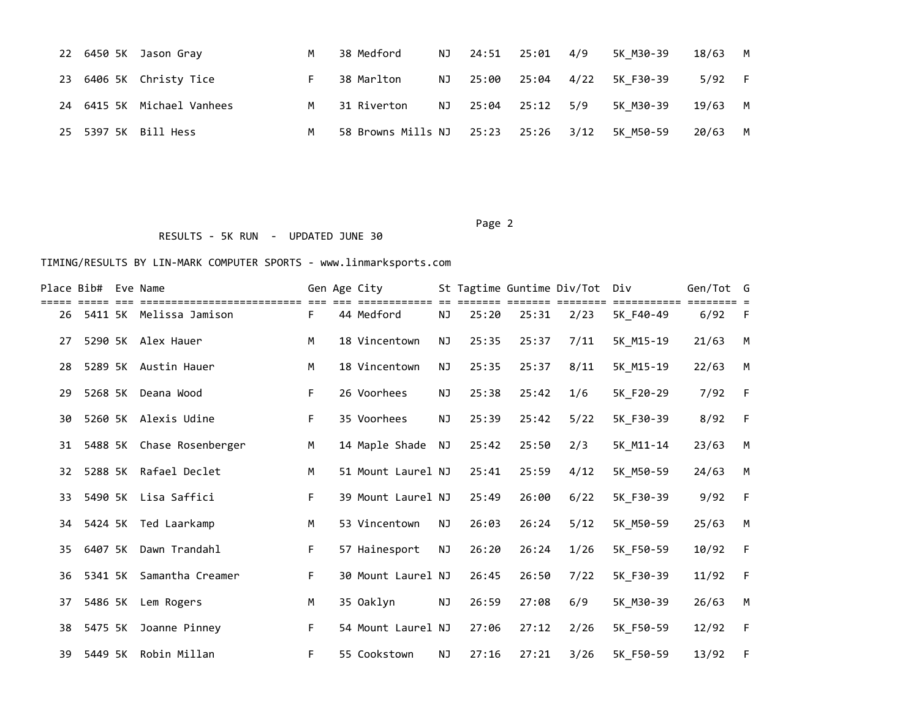|  | 22 6450 5K Jason Gray      | M | 38 Medford                          | NJ 24:51 25:01 4/9 |  | 5K M30-39                     | 18/63   | <b>M</b> |
|--|----------------------------|---|-------------------------------------|--------------------|--|-------------------------------|---------|----------|
|  | 23 6406 5K Christy Tice    |   | 38 Marlton                          |                    |  | NJ 25:00 25:04 4/22 5K F30-39 | 5/92 F  |          |
|  | 24 6415 5K Michael Vanhees |   | M 31 Riverton                       | NJ 25:04 25:12 5/9 |  | 5K M30-39                     | 19/63 M |          |
|  | 25 5397 5K Bill Hess       | M | 58 Browns Mills NJ 25:23 25:26 3/12 |                    |  | 5K M50-59                     | 20/63   | <b>M</b> |

Page 2 (2012) 2014 12:30:40 (2012) 2014 12:30:40 (2012) 2014 12:30:40 (2012) 2014 12:30:40 (2012) 2014 12:30:40 RESULTS - 5K RUN - UPDATED JUNE 30

| Place Bib# |         | Eve Name                |    | Gen Age City       |           |       |       | St Tagtime Guntime Div/Tot Div |           | Gen/Tot G |    |
|------------|---------|-------------------------|----|--------------------|-----------|-------|-------|--------------------------------|-----------|-----------|----|
| 26         |         | 5411 5K Melissa Jamison | F. | 44 Medford         | ΝJ        | 25:20 | 25:31 | 2/23                           | 5K F40-49 | 6/92      | -F |
| 27         |         | 5290 5K Alex Hauer      | M  | 18 Vincentown      | <b>NJ</b> | 25:35 | 25:37 | 7/11                           | 5K_M15-19 | 21/63     | M  |
| 28         |         | 5289 5K Austin Hauer    | M  | 18 Vincentown      | NJ        | 25:35 | 25:37 | 8/11                           | 5K_M15-19 | 22/63     | M  |
| 29         |         | 5268 5K Deana Wood      | F. | 26 Voorhees        | ΝJ        | 25:38 | 25:42 | 1/6                            | 5K_F20-29 | 7/92      | -F |
| 30         |         | 5260 5K Alexis Udine    | F. | 35 Voorhees        | NJ        | 25:39 | 25:42 | 5/22                           | 5K_F30-39 | 8/92      | F  |
| 31         | 5488 5K | Chase Rosenberger       | M  | 14 Maple Shade NJ  |           | 25:42 | 25:50 | 2/3                            | 5K M11-14 | 23/63     | M  |
| 32         | 5288 5K | Rafael Declet           | M  | 51 Mount Laurel NJ |           | 25:41 | 25:59 | 4/12                           | 5K M50-59 | 24/63     | M  |
| 33         | 5490 5K | Lisa Saffici            | F. | 39 Mount Laurel NJ |           | 25:49 | 26:00 | 6/22                           | 5K_F30-39 | 9/92      | F  |
| 34         |         | 5424 5K Ted Laarkamp    | M  | 53 Vincentown      | ΝJ        | 26:03 | 26:24 | 5/12                           | 5K_M50-59 | 25/63     | M  |
| 35         | 6407 5K | Dawn Trandahl           | F. | 57 Hainesport      | <b>NJ</b> | 26:20 | 26:24 | 1/26                           | 5K_F50-59 | 10/92     | F  |
| 36         | 5341 5K | Samantha Creamer        | F  | 30 Mount Laurel NJ |           | 26:45 | 26:50 | 7/22                           | 5K F30-39 | 11/92     | F  |
| 37         | 5486 5K | Lem Rogers              | M  | 35 Oaklyn          | <b>NJ</b> | 26:59 | 27:08 | 6/9                            | 5K_M30-39 | 26/63     | M  |
| 38         | 5475 5K | Joanne Pinney           | F. | 54 Mount Laurel NJ |           | 27:06 | 27:12 | 2/26                           | 5K_F50-59 | 12/92     | F  |
| 39         | 5449 5K | Robin Millan            | F. | 55 Cookstown       | <b>NJ</b> | 27:16 | 27:21 | 3/26                           | 5K_F50-59 | 13/92     | F  |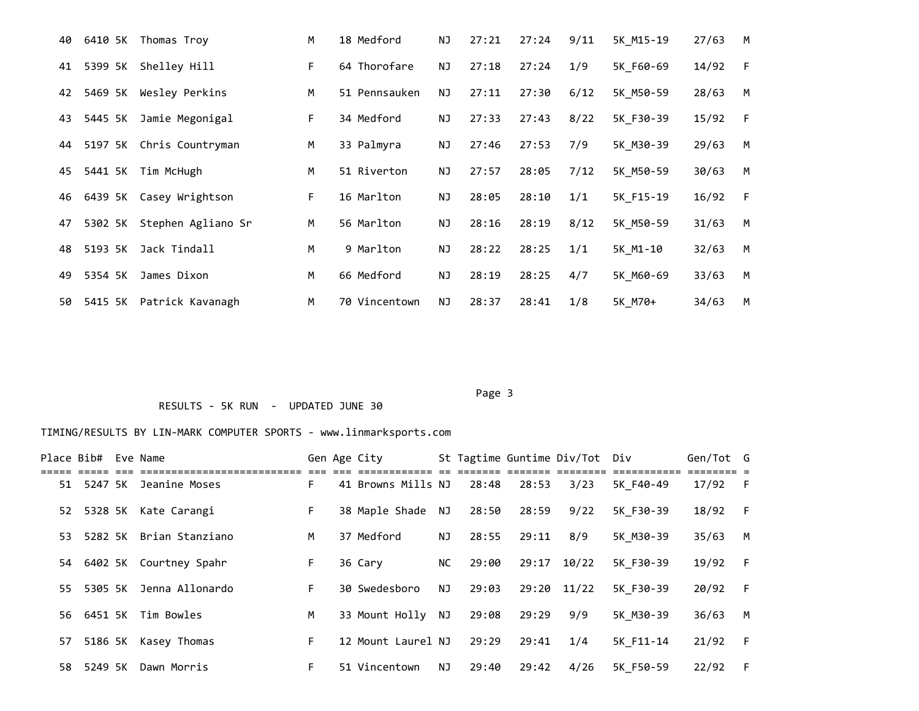| 40 | 6410 5K | Thomas Troy              | M  | 18 Medford    | ΝJ        | 27:21 | 27:24 | 9/11 | 5K M15-19 | 27/63 | M |
|----|---------|--------------------------|----|---------------|-----------|-------|-------|------|-----------|-------|---|
| 41 | 5399 5K | Shelley Hill             | F. | 64 Thorofare  | <b>NJ</b> | 27:18 | 27:24 | 1/9  | 5K F60-69 | 14/92 | F |
| 42 | 5469 5K | Wesley Perkins           | M  | 51 Pennsauken | NJ.       | 27:11 | 27:30 | 6/12 | 5K M50-59 | 28/63 | M |
| 43 | 5445 5K | Jamie Megonigal          | F. | 34 Medford    | ΝJ        | 27:33 | 27:43 | 8/22 | 5K F30-39 | 15/92 | F |
| 44 |         | 5197 5K Chris Countryman | M  | 33 Palmyra    | ΝJ        | 27:46 | 27:53 | 7/9  | 5K M30-39 | 29/63 | M |
| 45 | 5441 5K | Tim McHugh               | M  | 51 Riverton   | NJ.       | 27:57 | 28:05 | 7/12 | 5K M50-59 | 30/63 | M |
| 46 |         | 6439 5K Casey Wrightson  | F. | 16 Marlton    | ΝJ        | 28:05 | 28:10 | 1/1  | 5K F15-19 | 16/92 | F |
| 47 | 5302 5K | Stephen Agliano Sr       | M  | 56 Marlton    | NJ.       | 28:16 | 28:19 | 8/12 | 5K M50-59 | 31/63 | M |
| 48 | 5193 5K | Jack Tindall             | M  | 9 Marlton     | <b>NJ</b> | 28:22 | 28:25 | 1/1  | 5K M1-10  | 32/63 | M |
| 49 | 5354 5K | James Dixon              | M  | 66 Medford    | ΝJ        | 28:19 | 28:25 | 4/7  | 5K M60-69 | 33/63 | M |
| 50 | 5415 5K | Patrick Kavanagh         | M  | 70 Vincentown | NJ.       | 28:37 | 28:41 | 1/8  | 5K M70+   | 34/63 | M |

Page 3 and 2012 and 2012 and 2012 and 2012 and 2012 and 2012 and 2012 and 2012 and 2012 and 2012 and 2012 and

# RESULTS - 5K RUN - UPDATED JUNE 30

| Place Bib# Eve Name |                            |    | Gen Age City       |      |       |           | St Tagtime Guntime Div/Tot Div |           | Gen/Tot G |     |
|---------------------|----------------------------|----|--------------------|------|-------|-----------|--------------------------------|-----------|-----------|-----|
|                     | 51 5247 5K Jeanine Moses   | F. | 41 Browns Mills NJ |      | 28:48 | 28:53     | 3/23                           | 5K F40-49 | $17/92$ F |     |
|                     | 52 5328 5K Kate Carangi    | F. | 38 Maple Shade NJ  |      | 28:50 | 28:59     | 9/22                           | 5K F30-39 | 18/92     | - F |
|                     | 53 5282 5K Brian Stanziano | M  | 37 Medford         | NJ   | 28:55 | 29:11     | 8/9                            | 5K M30-39 | 35/63     | M   |
|                     | 54 6402 5K Courtney Spahr  | F. | 36 Cary            | NC . | 29:00 |           | 29:17 10/22                    | 5K F30-39 | 19/92     | - F |
|                     | 55 5305 5K Jenna Allonardo | F. | 30 Swedesboro      | NJ   | 29:03 |           | 29:20 11/22                    | 5K F30-39 | 20/92     | - F |
|                     | 56 6451 5K Tim Bowles      | M  | 33 Mount Holly NJ  |      | 29:08 | 29:29 9/9 |                                | 5K M30-39 | 36/63     | M   |
|                     | 57 5186 5K Kasey Thomas    | F. | 12 Mount Laurel NJ |      | 29:29 | 29:41     | 1/4                            | 5K F11-14 | 21/92     | - F |
| 58 5249 5K          | Dawn Morris                | F. | 51 Vincentown      | NJ   | 29:40 | 29:42     | 4/26                           | 5K F50-59 | 22/92     | - F |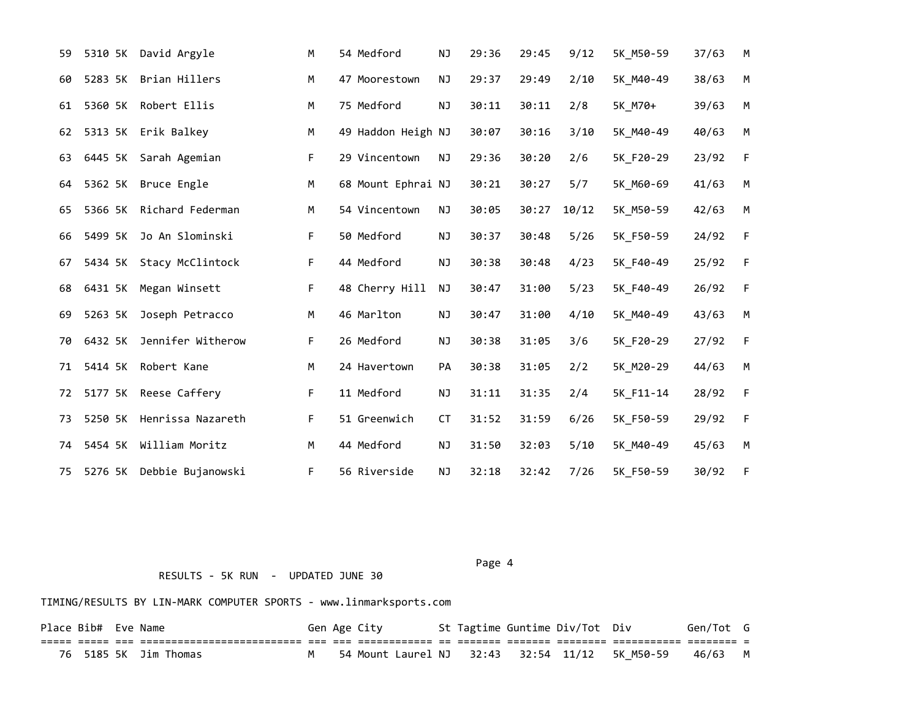| 59 | 5310 5K | David Argyle        | м  | 54 Medford         | <b>NJ</b> | 29:36 | 29:45 | 9/12  | 5K M50-59 | 37/63 | M         |
|----|---------|---------------------|----|--------------------|-----------|-------|-------|-------|-----------|-------|-----------|
| 60 | 5283 5K | Brian Hillers       | М  | 47 Moorestown      | NJ        | 29:37 | 29:49 | 2/10  | 5K M40-49 | 38/63 | M         |
| 61 | 5360 5K | Robert Ellis        | М  | 75 Medford         | NJ        | 30:11 | 30:11 | 2/8   | 5K M70+   | 39/63 | M         |
| 62 |         | 5313 5K Erik Balkey | M  | 49 Haddon Heigh NJ |           | 30:07 | 30:16 | 3/10  | 5K M40-49 | 40/63 | ${\sf M}$ |
| 63 | 6445 5K | Sarah Agemian       | F. | 29 Vincentown      | NJ        | 29:36 | 30:20 | 2/6   | 5K F20-29 | 23/92 | F         |
| 64 | 5362 5K | Bruce Engle         | M  | 68 Mount Ephrai NJ |           | 30:21 | 30:27 | 5/7   | 5K M60-69 | 41/63 | M         |
| 65 | 5366 5K | Richard Federman    | M  | 54 Vincentown      | NJ        | 30:05 | 30:27 | 10/12 | 5K_M50-59 | 42/63 | M         |
| 66 | 5499 5K | Jo An Slominski     | F  | 50 Medford         | <b>NJ</b> | 30:37 | 30:48 | 5/26  | 5K F50-59 | 24/92 | F         |
| 67 | 5434 5K | Stacy McClintock    | F. | 44 Medford         | NJ        | 30:38 | 30:48 | 4/23  | 5K F40-49 | 25/92 | F         |
| 68 | 6431 5K | Megan Winsett       | F  | 48 Cherry Hill     | NJ        | 30:47 | 31:00 | 5/23  | 5K F40-49 | 26/92 | F         |
| 69 | 5263 5K | Joseph Petracco     | М  | 46 Marlton         | <b>NJ</b> | 30:47 | 31:00 | 4/10  | 5K M40-49 | 43/63 | M         |
| 70 | 6432 5K | Jennifer Witherow   | F  | 26 Medford         | NJ        | 30:38 | 31:05 | 3/6   | 5K_F20-29 | 27/92 | F         |
| 71 | 5414 5K | Robert Kane         | M  | 24 Havertown       | PA        | 30:38 | 31:05 | 2/2   | 5K M20-29 | 44/63 | M         |
| 72 | 5177 5K | Reese Caffery       | F  | 11 Medford         | NJ        | 31:11 | 31:35 | 2/4   | 5K F11-14 | 28/92 | F         |
| 73 | 5250 5K | Henrissa Nazareth   | F. | 51 Greenwich       | <b>CT</b> | 31:52 | 31:59 | 6/26  | 5K F50-59 | 29/92 | F         |
| 74 | 5454 5K | William Moritz      | М  | 44 Medford         | NJ        | 31:50 | 32:03 | 5/10  | 5K M40-49 | 45/63 | M         |
| 75 | 5276 5K | Debbie Bujanowski   | F  | 56 Riverside       | NJ        | 32:18 | 32:42 | 7/26  | 5K F50-59 | 30/92 | F         |

Page 4 and the state of the state of the state of the state of the state of the state of the state of the state of the state of the state of the state of the state of the state of the state of the state of the state of the

TIMING/RESULTS BY LIN-MARK COMPUTER SPORTS - www.linmarksports.com

RESULTS - 5K RUN - UPDATED JUNE 30

| Place Bib# Eve Name |  |                       |  | Gen Age City                                           |  | St Tagtime Guntime Div/Tot Div | Gen/Tot G |  |
|---------------------|--|-----------------------|--|--------------------------------------------------------|--|--------------------------------|-----------|--|
|                     |  |                       |  |                                                        |  |                                |           |  |
|                     |  | 76 5185 5K Jim Thomas |  | 54 Mount Laurel NJ 32:43 32:54 11/12 5K M50-59 46/63 M |  |                                |           |  |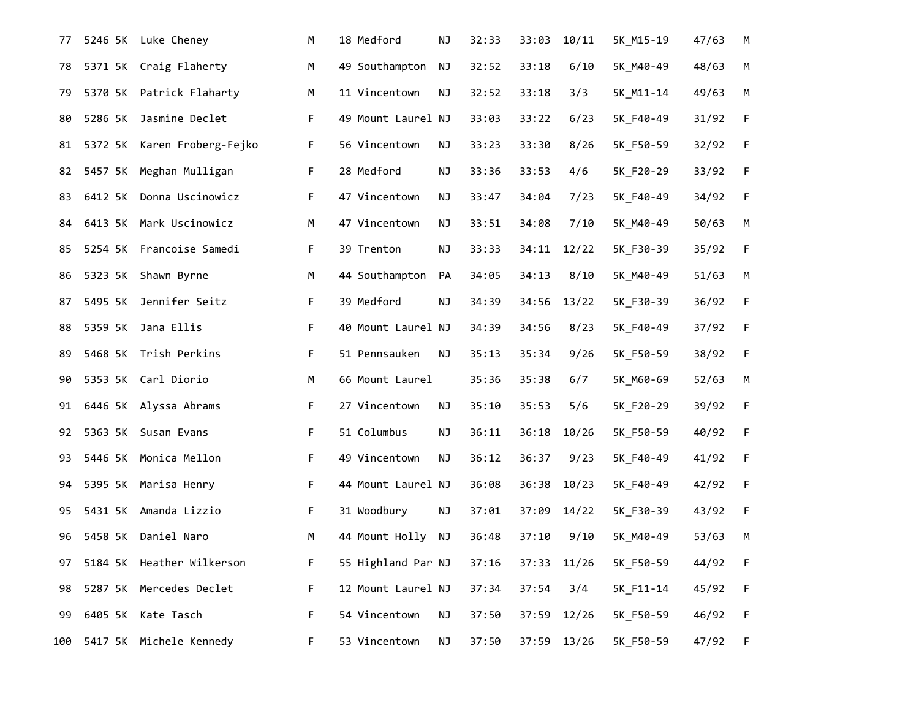| 77  | 5246 5K | Luke Cheney               | М  | 18 Medford         | <b>NJ</b> | 32:33 | 33:03       | 10/11 | 5K M15-19 | 47/63 | M           |
|-----|---------|---------------------------|----|--------------------|-----------|-------|-------------|-------|-----------|-------|-------------|
| 78  |         | 5371 5K Craig Flaherty    | M  | 49 Southampton     | NJ        | 32:52 | 33:18       | 6/10  | 5K_M40-49 | 48/63 | M           |
| 79  | 5370 5K | Patrick Flaharty          | M  | 11 Vincentown      | <b>NJ</b> | 32:52 | 33:18       | 3/3   | 5K_M11-14 | 49/63 | M           |
| 80  | 5286 5K | Jasmine Declet            | F. | 49 Mount Laurel NJ |           | 33:03 | 33:22       | 6/23  | 5K F40-49 | 31/92 | $\mathsf F$ |
| 81  | 5372 5K | Karen Froberg-Fejko       | F  | 56 Vincentown      | ΝJ        | 33:23 | 33:30       | 8/26  | 5K_F50-59 | 32/92 | F           |
| 82  |         | 5457 5K Meghan Mulligan   | F. | 28 Medford         | NJ        | 33:36 | 33:53       | 4/6   | 5K_F20-29 | 33/92 | $\mathsf F$ |
| 83  | 6412 5K | Donna Uscinowicz          | F. | 47 Vincentown      | ΝJ        | 33:47 | 34:04       | 7/23  | 5K_F40-49 | 34/92 | F           |
| 84  |         | 6413 5K Mark Uscinowicz   | M  | 47 Vincentown      | ΝJ        | 33:51 | 34:08       | 7/10  | 5K_M40-49 | 50/63 | ${\sf M}$   |
| 85  |         | 5254 5K Francoise Samedi  | F. | 39 Trenton         | ΝJ        | 33:33 | 34:11       | 12/22 | 5K_F30-39 | 35/92 | $\mathsf F$ |
| 86  |         | 5323 5K Shawn Byrne       | M  | 44 Southampton     | PA        | 34:05 | 34:13       | 8/10  | 5K_M40-49 | 51/63 | M           |
| 87  | 5495 5K | Jennifer Seitz            | F. | 39 Medford         | NJ        | 34:39 | 34:56       | 13/22 | 5K_F30-39 | 36/92 | F           |
| 88  | 5359 5K | Jana Ellis                | F. | 40 Mount Laurel NJ |           | 34:39 | 34:56       | 8/23  | 5K_F40-49 | 37/92 | F           |
| 89  |         | 5468 5K Trish Perkins     | F. | 51 Pennsauken      | ΝJ        | 35:13 | 35:34       | 9/26  | 5K_F50-59 | 38/92 | F           |
| 90  |         | 5353 5K Carl Diorio       | M  | 66 Mount Laurel    |           | 35:36 | 35:38       | 6/7   | 5K_M60-69 | 52/63 | M           |
| 91  |         | 6446 5K Alyssa Abrams     | F. | 27 Vincentown      | NJ        | 35:10 | 35:53       | 5/6   | 5K_F20-29 | 39/92 | F           |
| 92  |         | 5363 5K Susan Evans       | F. | 51 Columbus        | ΝJ        | 36:11 | 36:18       | 10/26 | 5K_F50-59 | 40/92 | $\mathsf F$ |
| 93  | 5446 5K | Monica Mellon             | F. | 49 Vincentown      | ΝJ        | 36:12 | 36:37       | 9/23  | 5K_F40-49 | 41/92 | $\mathsf F$ |
| 94  |         | 5395 5K Marisa Henry      | F. | 44 Mount Laurel NJ |           | 36:08 | 36:38       | 10/23 | 5K_F40-49 | 42/92 | $\mathsf F$ |
| 95  | 5431 5K | Amanda Lizzio             | F. | 31 Woodbury        | NJ        | 37:01 | 37:09       | 14/22 | 5K_F30-39 | 43/92 | F           |
| 96  | 5458 5K | Daniel Naro               | M  | 44 Mount Holly     | NJ        | 36:48 | 37:10       | 9/10  | 5K_M40-49 | 53/63 | M           |
| 97  |         | 5184 5K Heather Wilkerson | F  | 55 Highland Par NJ |           | 37:16 | 37:33 11/26 |       | 5K_F50-59 | 44/92 | F           |
| 98  |         | 5287 5K Mercedes Declet   | F. | 12 Mount Laurel NJ |           | 37:34 | 37:54       | 3/4   | 5K_F11-14 | 45/92 | F           |
| 99  | 6405 5K | Kate Tasch                | F. | 54 Vincentown      | ΝJ        | 37:50 | 37:59       | 12/26 | 5K_F50-59 | 46/92 | F           |
| 100 |         | 5417 5K Michele Kennedy   | F. | 53 Vincentown      | NJ        | 37:50 | 37:59 13/26 |       | 5K_F50-59 | 47/92 | F           |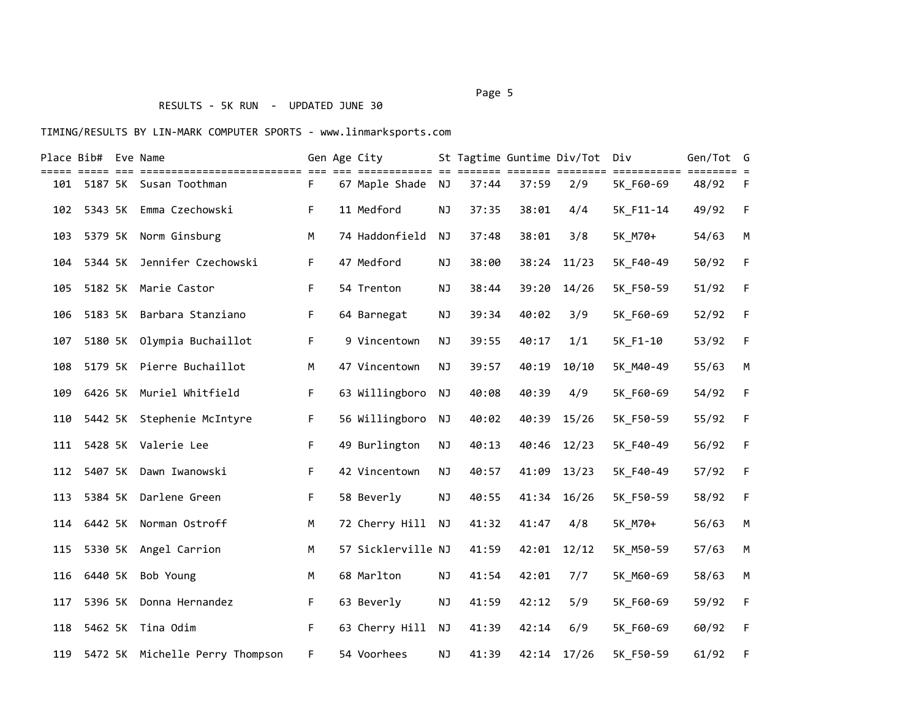# RESULTS - 5K RUN - UPDATED JUNE 30

### TIMING/RESULTS BY LIN-MARK COMPUTER SPORTS - www.linmarksports.com

|     | Place Bib# Eve Name |                                     |    | Gen Age City       |           |       |       | St Tagtime Guntime Div/Tot Div |                          | Gen/Tot | G           |
|-----|---------------------|-------------------------------------|----|--------------------|-----------|-------|-------|--------------------------------|--------------------------|---------|-------------|
| 101 |                     | 5187 5K Susan Toothman              | F. | 67 Maple Shade NJ  |           | 37:44 | 37:59 | === ========<br>2/9            | ===========<br>5K F60-69 | 48/92   | F.          |
| 102 | 5343 5K             | Emma Czechowski                     | F  | 11 Medford         | <b>NJ</b> | 37:35 | 38:01 | 4/4                            | 5K_F11-14                | 49/92   | F           |
| 103 | 5379 5K             | Norm Ginsburg                       | M  | 74 Haddonfield     | <b>NJ</b> | 37:48 | 38:01 | 3/8                            | 5K M70+                  | 54/63   | M           |
| 104 | 5344 5K             | Jennifer Czechowski                 | F  | 47 Medford         | NJ        | 38:00 | 38:24 | 11/23                          | 5K F40-49                | 50/92   | F           |
| 105 | 5182 5K             | Marie Castor                        | F  | 54 Trenton         | <b>NJ</b> | 38:44 | 39:20 | 14/26                          | 5K_F50-59                | 51/92   | $\mathsf F$ |
| 106 |                     | 5183 5K Barbara Stanziano           | F  | 64 Barnegat        | NJ        | 39:34 | 40:02 | 3/9                            | 5K_F60-69                | 52/92   | $\mathsf F$ |
| 107 |                     | 5180 5K Olympia Buchaillot          | F  | 9 Vincentown       | <b>NJ</b> | 39:55 | 40:17 | 1/1                            | 5K F1-10                 | 53/92   | F           |
| 108 |                     | 5179 5K Pierre Buchaillot           | M  | 47 Vincentown      | ΝJ        | 39:57 | 40:19 | 10/10                          | 5K M40-49                | 55/63   | M           |
| 109 |                     | 6426 5K Muriel Whitfield            | F  | 63 Willingboro     | NJ        | 40:08 | 40:39 | 4/9                            | 5K F60-69                | 54/92   | F           |
| 110 |                     | 5442 5K Stephenie McIntyre          | F  | 56 Willingboro     | NJ        | 40:02 | 40:39 | 15/26                          | 5K_F50-59                | 55/92   | F           |
| 111 |                     | 5428 5K Valerie Lee                 | F  | 49 Burlington      | ΝJ        | 40:13 | 40:46 | 12/23                          | 5K F40-49                | 56/92   | F           |
| 112 |                     | 5407 5K Dawn Iwanowski              | F  | 42 Vincentown      | ΝJ        | 40:57 | 41:09 | 13/23                          | 5K F40-49                | 57/92   | F           |
| 113 | 5384 5K             | Darlene Green                       | F  | 58 Beverly         | <b>NJ</b> | 40:55 | 41:34 | 16/26                          | 5K F50-59                | 58/92   | $\mathsf F$ |
| 114 | 6442 5K             | Norman Ostroff                      | M  | 72 Cherry Hill     | <b>NJ</b> | 41:32 | 41:47 | 4/8                            | 5K M70+                  | 56/63   | M           |
| 115 |                     | 5330 5K Angel Carrion               | M  | 57 Sicklerville NJ |           | 41:59 | 42:01 | 12/12                          | 5K_M50-59                | 57/63   | ${\sf M}$   |
| 116 | 6440 5K             | Bob Young                           | M  | 68 Marlton         | NJ        | 41:54 | 42:01 | 7/7                            | 5K M60-69                | 58/63   | M           |
| 117 | 5396 5K             | Donna Hernandez                     | F  | 63 Beverly         | ΝJ        | 41:59 | 42:12 | 5/9                            | 5K F60-69                | 59/92   | F           |
| 118 | 5462 5K             | Tina Odim                           | F  | 63 Cherry Hill     | <b>NJ</b> | 41:39 | 42:14 | 6/9                            | 5K F60-69                | 60/92   | $\mathsf F$ |
|     |                     | 119 5472 5K Michelle Perry Thompson | F. | 54 Voorhees        | NJ        | 41:39 | 42:14 | 17/26                          | 5K F50-59                | 61/92   | F           |

#### Page 5 and 2012 and 2012 and 2012 and 2012 and 2012 and 2012 and 2012 and 2012 and 2012 and 2012 and 2012 and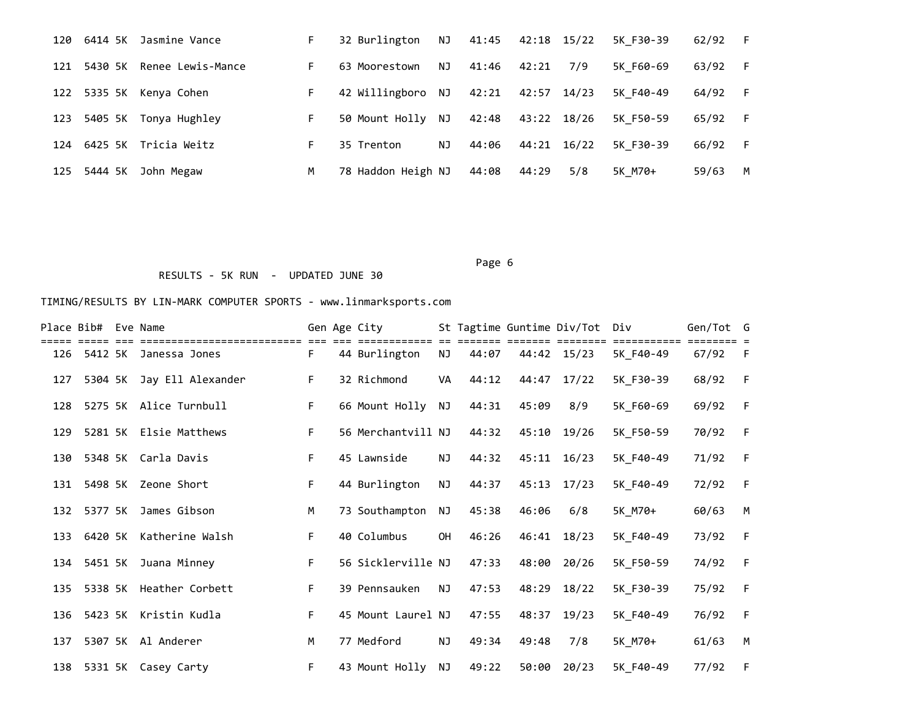| 120 | 6414 5K     | Jasmine Vance           |    | 32 Burlington      | NJ. | 41:45 | 42:18 15/22 |     | 5K F30-39 | 62/92 | -F |
|-----|-------------|-------------------------|----|--------------------|-----|-------|-------------|-----|-----------|-------|----|
| 121 | 5430 SK     | Renee Lewis-Mance       |    | 63 Moorestown      | NJ. | 41:46 | 42:21       | 7/9 | 5K F60-69 | 63/92 | -F |
|     |             | 122 5335 5K Kenya Cohen |    | 42 Willingboro NJ  |     | 42:21 | 42:57 14/23 |     | 5K F40-49 | 64/92 | -F |
| 123 | 5405 SK     | Tonya Hughley           |    | 50 Mount Holly NJ  |     | 42:48 | 43:22 18/26 |     | 5K F50-59 | 65/92 | -F |
|     | 124 6425 5K | Tricia Weitz            | F. | 35 Trenton         | NJ  | 44:06 | 44:21 16/22 |     | 5K F30-39 | 66/92 | -F |
| 125 | 5444 5K     | John Megaw              | м  | 78 Haddon Heigh NJ |     | 44:08 | 44:29       | 5/8 | 5K M70+   | 59/63 | M  |

Page 6 and the contract of the contract of the contract of the contract of the contract of the contract of the

# RESULTS - 5K RUN - UPDATED JUNE 30

|     | Place Bib# Eve Name |                                                    |    | Gen Age City              |           |       | St Tagtime Guntime Div/Tot |             | Div                   | Gen/Tot G |     |
|-----|---------------------|----------------------------------------------------|----|---------------------------|-----------|-------|----------------------------|-------------|-----------------------|-----------|-----|
|     |                     | =====================<br>126 5412 5K Janessa Jones | F. | ========<br>44 Burlington | ΝJ        | 44:07 |                            | 44:42 15/23 | ========<br>5K F40-49 | 67/92     | - F |
| 127 |                     | 5304 5K Jay Ell Alexander                          | F. | 32 Richmond               | VA        | 44:12 |                            | 44:47 17/22 | 5K_F30-39             | 68/92     | F   |
| 128 |                     | 5275 5K Alice Turnbull                             | F. | 66 Mount Holly NJ         |           | 44:31 | 45:09                      | 8/9         | 5K F60-69             | 69/92     | F   |
| 129 |                     | 5281 5K Elsie Matthews                             | F. | 56 Merchantvill NJ        |           | 44:32 |                            | 45:10 19/26 | 5K F50-59             | 70/92     | F   |
| 130 |                     | 5348 5K Carla Davis                                | F. | 45 Lawnside               | ΝJ        | 44:32 |                            | 45:11 16/23 | 5K_F40-49             | 71/92     | F   |
| 131 |                     | 5498 5K Zeone Short                                | F. | 44 Burlington             | NJ        | 44:37 |                            | 45:13 17/23 | 5K F40-49             | 72/92     | F   |
| 132 |                     | 5377 5K James Gibson                               | M  | 73 Southampton            | NJ        | 45:38 | 46:06                      | 6/8         | 5K M70+               | 60/63     | M   |
| 133 |                     | 6420 5K Katherine Walsh                            | F. | 40 Columbus               | OH        | 46:26 |                            | 46:41 18/23 | 5K_F40-49             | 73/92     | F   |
|     |                     | 134 5451 5K Juana Minney                           | F. | 56 Sicklerville NJ        |           | 47:33 |                            | 48:00 20/26 | 5K_F50-59             | 74/92     | F   |
| 135 | 5338 5K             | Heather Corbett                                    | F. | 39 Pennsauken             | <b>NJ</b> | 47:53 | 48:29                      | 18/22       | 5K_F30-39             | 75/92     | F   |
| 136 | 5423 5K             | Kristin Kudla                                      | F. | 45 Mount Laurel NJ        |           | 47:55 | 48:37                      | 19/23       | 5K F40-49             | 76/92     | F   |
| 137 |                     | 5307 5K Al Anderer                                 | M  | 77 Medford                | NJ        | 49:34 | 49:48                      | 7/8         | 5K M70+               | 61/63     | M   |
|     |                     | 138 5331 5K Casey Carty                            | F. | 43 Mount Holly            | NJ        | 49:22 | 50:00                      | 20/23       | 5K F40-49             | 77/92     | F   |